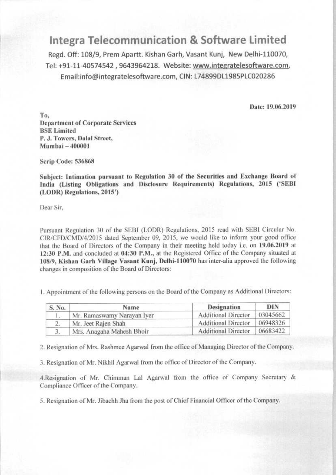## **Integra Telecommunication & Software Limited**

Regd. Off: 108/9, Prem Apartt. Kishan Garh, Vasant Kunj, New Delhi-110070, Tel: +91-11-40574542, 9643964218. Website: www.integratelesoftware.com, Email:info@integratelesoftware.com, CIN: L74899DL1985PLC020286

Date: 19.06.2019

To. **Department of Corporate Services BSE Limited** P. J. Towers, Dalal Street, Mumbai - 400001

Scrip Code: 536868

Subject: Intimation pursuant to Regulation 30 of the Securities and Exchange Board of India (Listing Obligations and Disclosure Requirements) Regulations, 2015 ('SEBI (LODR) Regulations, 2015')

Dear Sir.

Pursuant Regulation 30 of the SEBI (LODR) Regulations, 2015 read with SEBI Circular No. CIR/CFD/CMD/4/2015 dated September 09, 2015, we would like to inform your good office that the Board of Directors of the Company in their meeting held today i.e. on 19.06.2019 at 12:30 P.M. and concluded at 04:30 P.M., at the Registered Office of the Company situated at 108/9, Kishan Garh Village Vasant Kunj, Delhi-110070 has inter-alia approved the following changes in composition of the Board of Directors:

1. Appointment of the following persons on the Board of the Company as Additional Directors:

| S. No. | Name                       | Designation                | DIN      |
|--------|----------------------------|----------------------------|----------|
|        | Mr. Ramaswamy Narayan Iyer | <b>Additional Director</b> | 03045662 |
|        | Mr. Jeet Rajen Shah        | <b>Additional Director</b> | 06948326 |
|        | Mrs. Anagaha Mahesh Bhoir  | <b>Additional Director</b> | 06683422 |

2. Resignation of Mrs. Rashmee Agarwal from the office of Managing Director of the Company.

3. Resignation of Mr. Nikhil Agarwal from the office of Director of the Company.

4. Resignation of Mr. Chimman Lal Agarwal from the office of Company Secretary & Compliance Officer of the Company.

5. Resignation of Mr. Jibachh Jha from the post of Chief Financial Officer of the Company.